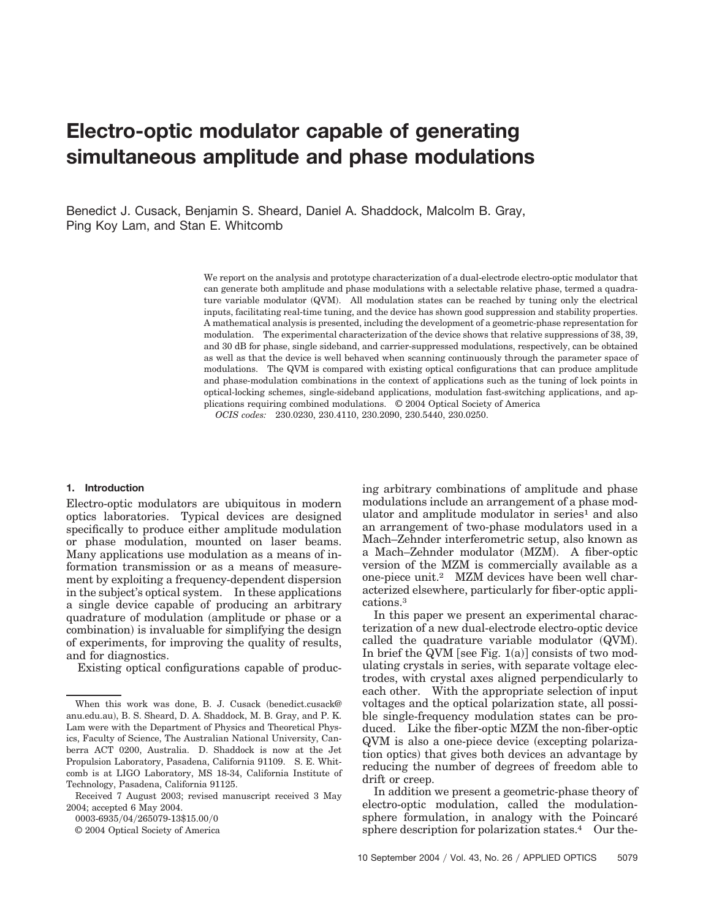# **Electro-optic modulator capable of generating simultaneous amplitude and phase modulations**

Benedict J. Cusack, Benjamin S. Sheard, Daniel A. Shaddock, Malcolm B. Gray, Ping Koy Lam, and Stan E. Whitcomb

> We report on the analysis and prototype characterization of a dual-electrode electro-optic modulator that can generate both amplitude and phase modulations with a selectable relative phase, termed a quadrature variable modulator (QVM). All modulation states can be reached by tuning only the electrical inputs, facilitating real-time tuning, and the device has shown good suppression and stability properties. A mathematical analysis is presented, including the development of a geometric-phase representation for modulation. The experimental characterization of the device shows that relative suppressions of 38, 39, and 30 dB for phase, single sideband, and carrier-suppressed modulations, respectively, can be obtained as well as that the device is well behaved when scanning continuously through the parameter space of modulations. The QVM is compared with existing optical configurations that can produce amplitude and phase-modulation combinations in the context of applications such as the tuning of lock points in optical-locking schemes, single-sideband applications, modulation fast-switching applications, and applications requiring combined modulations. © 2004 Optical Society of America

*OCIS codes:* 230.0230, 230.4110, 230.2090, 230.5440, 230.0250.

## **1. Introduction**

Electro-optic modulators are ubiquitous in modern optics laboratories. Typical devices are designed specifically to produce either amplitude modulation or phase modulation, mounted on laser beams. Many applications use modulation as a means of information transmission or as a means of measurement by exploiting a frequency-dependent dispersion in the subject's optical system. In these applications a single device capable of producing an arbitrary quadrature of modulation (amplitude or phase or a combination) is invaluable for simplifying the design of experiments, for improving the quality of results, and for diagnostics.

Existing optical configurations capable of produc-

0003-6935/04/265079-13\$15.00/0

© 2004 Optical Society of America

ing arbitrary combinations of amplitude and phase modulations include an arrangement of a phase modulator and amplitude modulator in series<sup>1</sup> and also an arrangement of two-phase modulators used in a Mach–Zehnder interferometric setup, also known as a Mach–Zehnder modulator (MZM). A fiber-optic version of the MZM is commercially available as a one-piece unit.2 MZM devices have been well characterized elsewhere, particularly for fiber-optic applications.3

In this paper we present an experimental characterization of a new dual-electrode electro-optic device called the quadrature variable modulator (QVM). In brief the QVM [see Fig.  $1(a)$ ] consists of two modulating crystals in series, with separate voltage electrodes, with crystal axes aligned perpendicularly to each other. With the appropriate selection of input voltages and the optical polarization state, all possible single-frequency modulation states can be produced. Like the fiber-optic MZM the non-fiber-optic QVM is also a one-piece device (excepting polarization optics) that gives both devices an advantage by reducing the number of degrees of freedom able to drift or creep.

In addition we present a geometric-phase theory of electro-optic modulation, called the modulationsphere formulation, in analogy with the Poincaré sphere description for polarization states.<sup>4</sup> Our the-

When this work was done, B. J. Cusack (benedict.cusack@ anu.edu.au), B. S. Sheard, D. A. Shaddock, M. B. Gray, and P. K. Lam were with the Department of Physics and Theoretical Physics, Faculty of Science, The Australian National University, Canberra ACT 0200, Australia. D. Shaddock is now at the Jet Propulsion Laboratory, Pasadena, California 91109. S. E. Whitcomb is at LIGO Laboratory, MS 18-34, California Institute of Technology, Pasadena, California 91125.

Received 7 August 2003; revised manuscript received 3 May 2004; accepted 6 May 2004.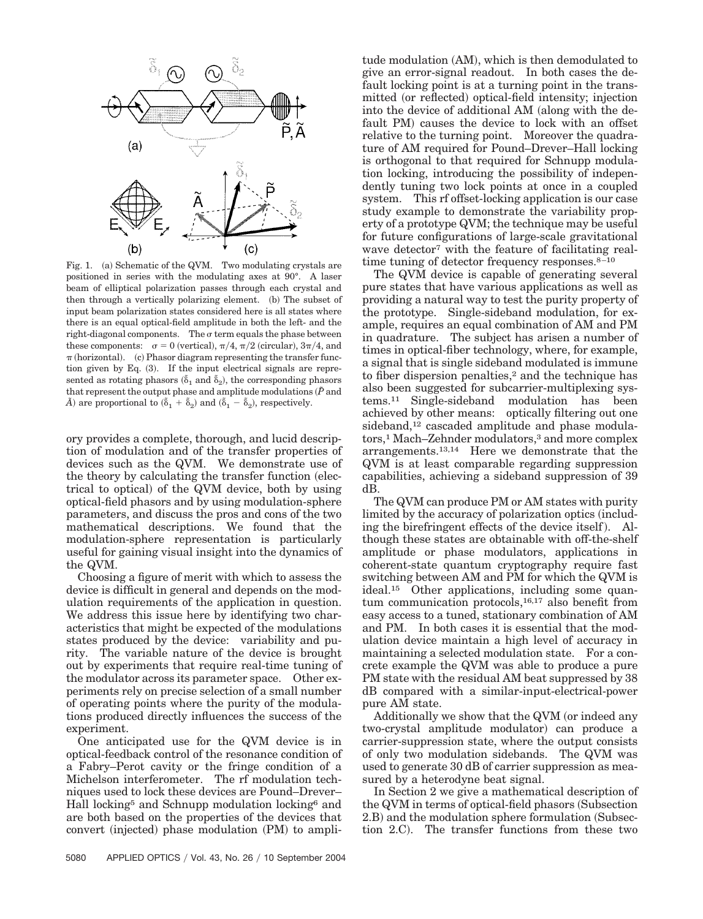

Fig. 1. (a) Schematic of the QVM. Two modulating crystals are positioned in series with the modulating axes at 90°. A laser beam of elliptical polarization passes through each crystal and then through a vertically polarizing element. (b) The subset of input beam polarization states considered here is all states where there is an equal optical-field amplitude in both the left- and the right-diagonal components. The  $\sigma$  term equals the phase between these components:  $\sigma = 0$  (vertical),  $\pi/4$ ,  $\pi/2$  (circular),  $3\pi/4$ , and  $\pi$  (horizontal). (c) Phasor diagram representing the transfer function given by Eq.  $(3)$ . If the input electrical signals are represented as rotating phasors  $(\tilde{\delta}_1 \text{ and } \tilde{\delta}_2)$ , the corresponding phasors that represent the output phase and amplitude modulations  $(\tilde{P}$  and  $\tilde{A}$  are proportional to  $(\tilde{\delta}_1 + \tilde{\delta}_2)$  and  $(\tilde{\delta}_1 - \tilde{\delta}_2)$ , respectively.

ory provides a complete, thorough, and lucid description of modulation and of the transfer properties of devices such as the QVM. We demonstrate use of the theory by calculating the transfer function (electrical to optical) of the QVM device, both by using optical-field phasors and by using modulation-sphere parameters, and discuss the pros and cons of the two mathematical descriptions. We found that the modulation-sphere representation is particularly useful for gaining visual insight into the dynamics of the QVM.

Choosing a figure of merit with which to assess the device is difficult in general and depends on the modulation requirements of the application in question. We address this issue here by identifying two characteristics that might be expected of the modulations states produced by the device: variability and purity. The variable nature of the device is brought out by experiments that require real-time tuning of the modulator across its parameter space. Other experiments rely on precise selection of a small number of operating points where the purity of the modulations produced directly influences the success of the experiment.

One anticipated use for the QVM device is in optical-feedback control of the resonance condition of a Fabry–Perot cavity or the fringe condition of a Michelson interferometer. The rf modulation techniques used to lock these devices are Pound–Drever– Hall locking5 and Schnupp modulation locking6 and are both based on the properties of the devices that convert (injected) phase modulation (PM) to ampli-

tude modulation (AM), which is then demodulated to give an error-signal readout. In both cases the default locking point is at a turning point in the transmitted (or reflected) optical-field intensity; injection into the device of additional AM (along with the default PM) causes the device to lock with an offset relative to the turning point. Moreover the quadrature of AM required for Pound–Drever–Hall locking is orthogonal to that required for Schnupp modulation locking, introducing the possibility of independently tuning two lock points at once in a coupled system. This rf offset-locking application is our case study example to demonstrate the variability property of a prototype QVM; the technique may be useful for future configurations of large-scale gravitational wave detector<sup>7</sup> with the feature of facilitating realtime tuning of detector frequency responses.<sup>8–10</sup>

The QVM device is capable of generating several pure states that have various applications as well as providing a natural way to test the purity property of the prototype. Single-sideband modulation, for example, requires an equal combination of AM and PM in quadrature. The subject has arisen a number of times in optical-fiber technology, where, for example, a signal that is single sideband modulated is immune to fiber dispersion penalties,<sup>2</sup> and the technique has also been suggested for subcarrier-multiplexing systems.11 Single-sideband modulation has been achieved by other means: optically filtering out one sideband,<sup>12</sup> cascaded amplitude and phase modulators,1 Mach–Zehnder modulators,3 and more complex arrangements.13,14 Here we demonstrate that the QVM is at least comparable regarding suppression capabilities, achieving a sideband suppression of 39 dB.

The QVM can produce PM or AM states with purity limited by the accuracy of polarization optics (including the birefringent effects of the device itself). Although these states are obtainable with off-the-shelf amplitude or phase modulators, applications in coherent-state quantum cryptography require fast switching between AM and PM for which the QVM is ideal.15 Other applications, including some quantum communication protocols,16,17 also benefit from easy access to a tuned, stationary combination of AM and PM. In both cases it is essential that the modulation device maintain a high level of accuracy in maintaining a selected modulation state. For a concrete example the QVM was able to produce a pure PM state with the residual AM beat suppressed by 38 dB compared with a similar-input-electrical-power pure AM state.

Additionally we show that the QVM (or indeed any two-crystal amplitude modulator) can produce a carrier-suppression state, where the output consists of only two modulation sidebands. The QVM was used to generate 30 dB of carrier suppression as measured by a heterodyne beat signal.

In Section 2 we give a mathematical description of the QVM in terms of optical-field phasors (Subsection 2.B) and the modulation sphere formulation (Subsection 2.C). The transfer functions from these two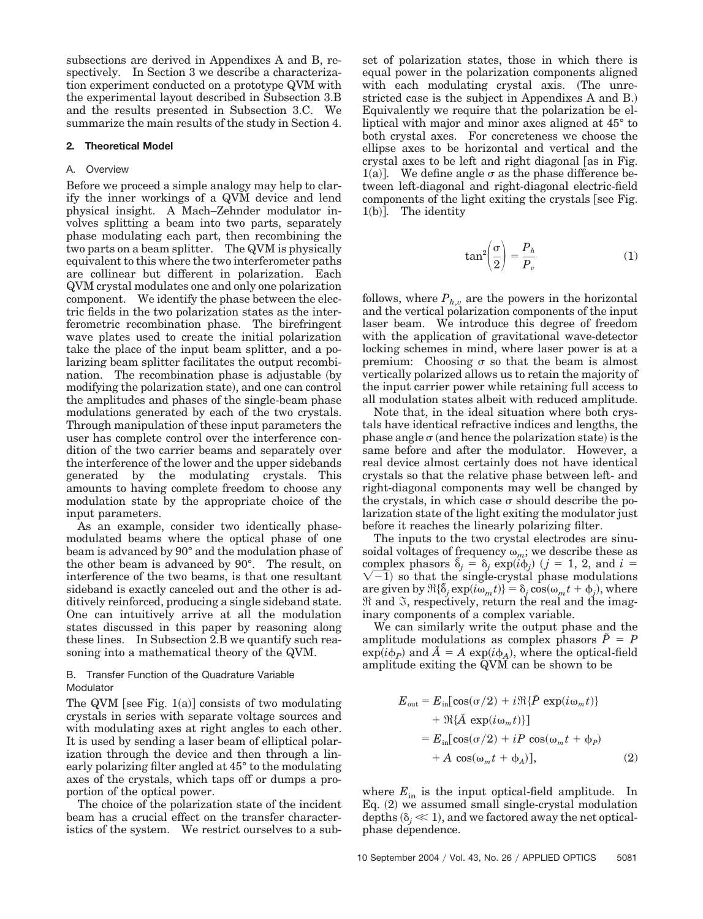subsections are derived in Appendixes A and B, respectively. In Section 3 we describe a characterization experiment conducted on a prototype QVM with the experimental layout described in Subsection 3.B and the results presented in Subsection 3.C. We summarize the main results of the study in Section 4.

## **2. Theoretical Model**

#### A. Overview

Before we proceed a simple analogy may help to clarify the inner workings of a QVM device and lend physical insight. A Mach–Zehnder modulator involves splitting a beam into two parts, separately phase modulating each part, then recombining the two parts on a beam splitter. The QVM is physically equivalent to this where the two interferometer paths are collinear but different in polarization. Each QVM crystal modulates one and only one polarization component. We identify the phase between the electric fields in the two polarization states as the interferometric recombination phase. The birefringent wave plates used to create the initial polarization take the place of the input beam splitter, and a polarizing beam splitter facilitates the output recombination. The recombination phase is adjustable by modifying the polarization state), and one can control the amplitudes and phases of the single-beam phase modulations generated by each of the two crystals. Through manipulation of these input parameters the user has complete control over the interference condition of the two carrier beams and separately over the interference of the lower and the upper sidebands generated by the modulating crystals. This amounts to having complete freedom to choose any modulation state by the appropriate choice of the input parameters.

As an example, consider two identically phasemodulated beams where the optical phase of one beam is advanced by 90° and the modulation phase of the other beam is advanced by 90°. The result, on interference of the two beams, is that one resultant sideband is exactly canceled out and the other is additively reinforced, producing a single sideband state. One can intuitively arrive at all the modulation states discussed in this paper by reasoning along these lines. In Subsection 2.B we quantify such reasoning into a mathematical theory of the QVM.

## B. Transfer Function of the Quadrature Variable Modulator

The QVM [see Fig.  $1(a)$ ] consists of two modulating crystals in series with separate voltage sources and with modulating axes at right angles to each other. It is used by sending a laser beam of elliptical polarization through the device and then through a linearly polarizing filter angled at 45° to the modulating axes of the crystals, which taps off or dumps a proportion of the optical power.

The choice of the polarization state of the incident beam has a crucial effect on the transfer characteristics of the system. We restrict ourselves to a subset of polarization states, those in which there is equal power in the polarization components aligned with each modulating crystal axis. (The unrestricted case is the subject in Appendixes A and B.) Equivalently we require that the polarization be elliptical with major and minor axes aligned at 45° to both crystal axes. For concreteness we choose the ellipse axes to be horizontal and vertical and the crystal axes to be left and right diagonal [as in Fig. 1(a)]. We define angle  $\sigma$  as the phase difference between left-diagonal and right-diagonal electric-field components of the light exiting the crystals [see Fig.  $1(b)$ ]. The identity

$$
\tan^2\left(\frac{\sigma}{2}\right) = \frac{P_h}{P_v} \tag{1}
$$

follows, where  $P_{h,v}$  are the powers in the horizontal and the vertical polarization components of the input laser beam. We introduce this degree of freedom with the application of gravitational wave-detector locking schemes in mind, where laser power is at a premium: Choosing  $\sigma$  so that the beam is almost vertically polarized allows us to retain the majority of the input carrier power while retaining full access to all modulation states albeit with reduced amplitude.

Note that, in the ideal situation where both crystals have identical refractive indices and lengths, the phase angle  $\sigma$  (and hence the polarization state) is the same before and after the modulator. However, a real device almost certainly does not have identical crystals so that the relative phase between left- and right-diagonal components may well be changed by the crystals, in which case  $\sigma$  should describe the polarization state of the light exiting the modulator just before it reaches the linearly polarizing filter.

The inputs to the two crystal electrodes are sinusoidal voltages of frequency  $\omega_m$ ; we describe these as complex phasors  $\tilde{\delta}_j = \delta_j \exp(i\phi_j)$ complex phasors  $\delta_j = \delta_j \exp(i\phi_j)$   $(j = 1, 2, \text{ and } i = \sqrt{-1}$  so that the single-crystal phase modulations are given by  $\Re{\{\delta_j \exp(i\omega_m t)\}} = \delta_j \cos(\omega_m t + \phi_j)$ , where  $Re$  and  $\Im$ , respectively, return the real and the imaginary components of a complex variable.

We can similarly write the output phase and the amplitude modulations as complex phasors  $\tilde{P} = P$  $\exp(i\phi_P)$  and  $\tilde{A} = A \exp(i\phi_A)$ , where the optical-field amplitude exiting the QVM can be shown to be

$$
E_{\text{out}} = E_{\text{in}}[\cos(\sigma/2) + i\Re{\{\tilde{P} \exp(i\omega_m t)\}}+ \Re{\{\tilde{A} \exp(i\omega_m t)\}}]= E_{\text{in}}[\cos(\sigma/2) + iP \cos(\omega_m t + \phi_P)+ A \cos(\omega_m t + \phi_A)], \qquad (2)
$$

where  $E_{\text{in}}$  is the input optical-field amplitude. In Eq. (2) we assumed small single-crystal modulation depths  $(\delta_j \ll 1)$ , and we factored away the net opticalphase dependence.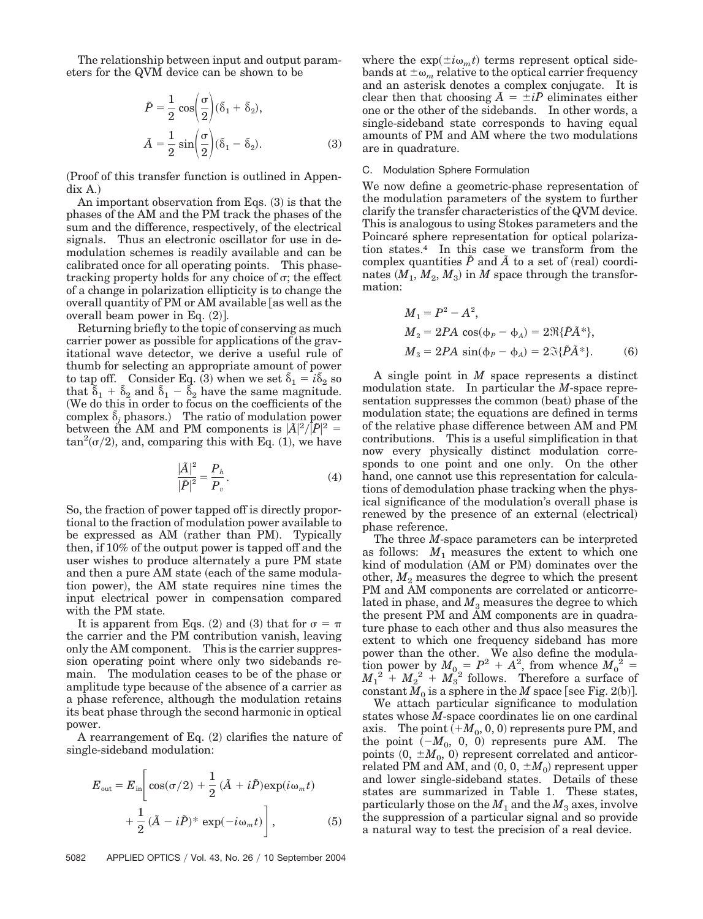The relationship between input and output parameters for the QVM device can be shown to be

$$
\tilde{P} = \frac{1}{2} \cos\left(\frac{\sigma}{2}\right) (\tilde{\delta}_1 + \tilde{\delta}_2),
$$

$$
\tilde{A} = \frac{1}{2} \sin\left(\frac{\sigma}{2}\right) (\tilde{\delta}_1 - \tilde{\delta}_2).
$$
 (3)

Proof of this transfer function is outlined in Appen- $\mathrm{d}$ ix A.)

An important observation from Eqs. (3) is that the phases of the AM and the PM track the phases of the sum and the difference, respectively, of the electrical signals. Thus an electronic oscillator for use in demodulation schemes is readily available and can be calibrated once for all operating points. This phasetracking property holds for any choice of  $\sigma$ ; the effect of a change in polarization ellipticity is to change the overall quantity of PM or AM available [as well as the overall beam power in Eq.  $(2)$ ].

Returning briefly to the topic of conserving as much carrier power as possible for applications of the gravitational wave detector, we derive a useful rule of thumb for selecting an appropriate amount of power to tap off. Consider Eq. (3) when we set  $\delta_1 = i\delta_2$  so that  $\tilde{\delta}_1 + \tilde{\delta}_2$  and  $\tilde{\delta}_1 - \tilde{\delta}_2$  have the same magnitude. We do this in order to focus on the coefficients of the complex  $\tilde{\delta}_j$  phasors.) The ratio of modulation power between the AM and PM components is  $|\tilde{A}|^2/|\tilde{P}|^2 =$  $\tan^2(\sigma/2)$ , and, comparing this with Eq. (1), we have

$$
\frac{|\tilde{A}|^2}{|\tilde{P}|^2} = \frac{P_h}{P_v}.
$$
\n(4)

So, the fraction of power tapped off is directly proportional to the fraction of modulation power available to be expressed as AM (rather than PM). Typically then, if 10% of the output power is tapped off and the user wishes to produce alternately a pure PM state and then a pure AM state (each of the same modulation power), the AM state requires nine times the input electrical power in compensation compared with the PM state.

It is apparent from Eqs. (2) and (3) that for  $\sigma = \pi$ the carrier and the PM contribution vanish, leaving only the AM component. This is the carrier suppression operating point where only two sidebands remain. The modulation ceases to be of the phase or amplitude type because of the absence of a carrier as a phase reference, although the modulation retains its beat phase through the second harmonic in optical power.

A rearrangement of Eq.  $(2)$  clarifies the nature of single-sideband modulation:

$$
E_{\text{out}} = E_{\text{in}} \left[ \cos(\sigma/2) + \frac{1}{2} (\tilde{A} + i\tilde{P}) \exp(i\omega_m t) + \frac{1}{2} (\tilde{A} - i\tilde{P})^* \exp(-i\omega_m t) \right],
$$
 (5)

where the  $\exp(\pm i\omega_m t)$  terms represent optical sidebands at  $\pm \omega_m$  relative to the optical carrier frequency and an asterisk denotes a complex conjugate. It is clear then that choosing  $\tilde{A} = \pm i\tilde{P}$  eliminates either one or the other of the sidebands. In other words, a single-sideband state corresponds to having equal amounts of PM and AM where the two modulations are in quadrature.

## C. Modulation Sphere Formulation

We now define a geometric-phase representation of the modulation parameters of the system to further clarify the transfer characteristics of the QVM device. This is analogous to using Stokes parameters and the Poincaré sphere representation for optical polarization states.4 In this case we transform from the complex quantities  $\tilde{P}$  and  $\tilde{A}$  to a set of (real) coordi $n$  nates  $(M_1, M_2, M_3)$  in  $M$  space through the transformation:

$$
M_1 = P^2 - A^2,
$$
  
\n
$$
M_2 = 2PA \cos(\phi_P - \phi_A) = 2\Re{\{\tilde{P}\tilde{A}^*\}},
$$
  
\n
$$
M_3 = 2PA \sin(\phi_P - \phi_A) = 2\Im{\{\tilde{P}\tilde{A}^*\}}.
$$
 (6)

A single point in *M* space represents a distinct modulation state. In particular the *M*-space representation suppresses the common (beat) phase of the modulation state; the equations are defined in terms of the relative phase difference between AM and PM contributions. This is a useful simplification in that now every physically distinct modulation corresponds to one point and one only. On the other hand, one cannot use this representation for calculations of demodulation phase tracking when the physical significance of the modulation's overall phase is renewed by the presence of an external (electrical) phase reference.

The three *M*-space parameters can be interpreted as follows:  $M_1$  measures the extent to which one kind of modulation (AM or PM) dominates over the other,  $M_2$  measures the degree to which the present PM and AM components are correlated or anticorrelated in phase, and  $M_3$  measures the degree to which the present PM and AM components are in quadrature phase to each other and thus also measures the extent to which one frequency sideband has more power than the other. We also define the modulation power by  $M_0 = P^2 + A^2$ , from whence  $M_0^2$  =  $M_1^2 + M_2^2 + M_3^2$  follows. Therefore a surface of  $\operatorname{constant} M_0$  is a sphere in the  $M$  space [see Fig. 2(b)].

We attach particular significance to modulation states whose *M*-space coordinates lie on one cardinal axis. The point  $(+M_0, 0, 0)$  represents pure PM, and the point  $(-M_0, 0, 0)$  represents pure AM. The points  $(0, \pm M_0, 0)$  represent correlated and anticor- $\operatorname{relatedPM}$  and AM, and  $(0,0,\pm M_0)$  represent upper and lower single-sideband states. Details of these states are summarized in Table 1. These states, particularly those on the  $M_1$  and the  $M_3$  axes, involve the suppression of a particular signal and so provide a natural way to test the precision of a real device.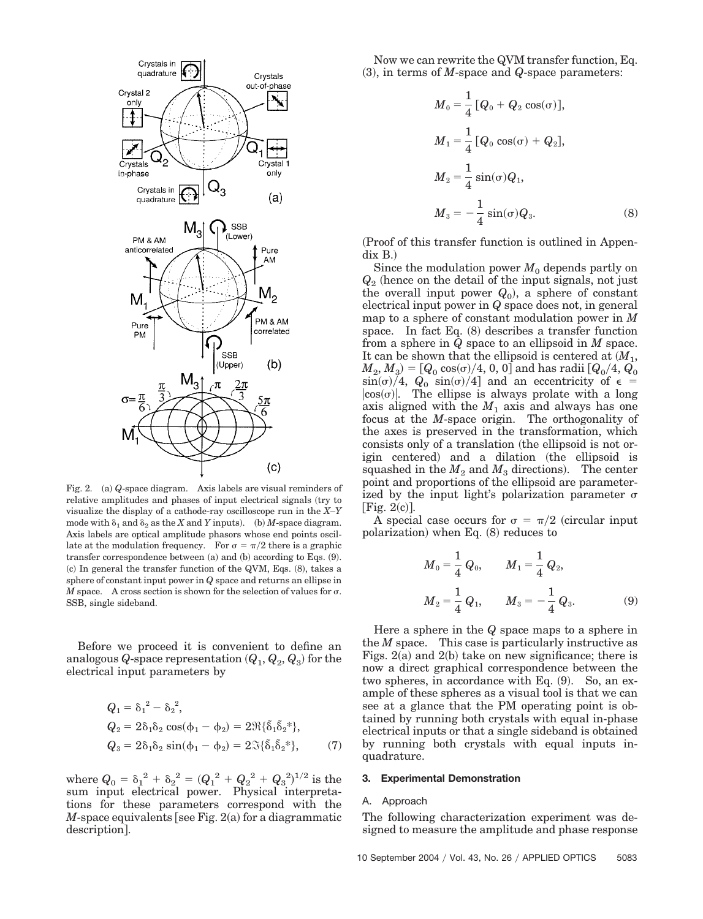

Fig. 2. (a) Q-space diagram. Axis labels are visual reminders of relative amplitudes and phases of input electrical signals (try to visualize the display of a cathode-ray oscilloscope run in the *X*–*Y* mode with  $\delta_1$  and  $\delta_2$  as the *X* and *Y* inputs). (b) *M*-space diagram. Axis labels are optical amplitude phasors whose end points oscillate at the modulation frequency. For  $\sigma = \pi/2$  there is a graphic transfer correspondence between (a) and (b) according to Eqs. (9).  $(c)$  In general the transfer function of the QVM, Eqs.  $(8)$ , takes a sphere of constant input power in *Q* space and returns an ellipse in *M* space. A cross section is shown for the selection of values for  $\sigma$ . SSB, single sideband.

Before we proceed it is convenient to define an analogous  $Q$ -space representation  $(Q_1, Q_2, Q_3)$  for the electrical input parameters by

$$
Q_1 = \delta_1^2 - \delta_2^2,
$$
  
\n
$$
Q_2 = 2\delta_1\delta_2 \cos(\phi_1 - \phi_2) = 2\Re{\{\delta_1\delta_2^*\}},
$$
  
\n
$$
Q_3 = 2\delta_1\delta_2 \sin(\phi_1 - \phi_2) = 2\Im{\{\delta_1\delta_2^*\}},
$$
\n(7)

where  $Q_0 = \delta_1^2 + \delta_2^2 = (Q_1^2 + Q_2^2 + Q_3^2)^{1/2}$  is the sum input electrical power. Physical interpretations for these parameters correspond with the  $M$ -space equivalents [see Fig. 2(a) for a diagrammatic description.

Now we can rewrite the QVM transfer function, Eq.  $(3)$ , in terms of *M*-space and *Q*-space parameters:

$$
M_0 = \frac{1}{4} [Q_0 + Q_2 \cos(\sigma)],
$$
  
\n
$$
M_1 = \frac{1}{4} [Q_0 \cos(\sigma) + Q_2],
$$
  
\n
$$
M_2 = \frac{1}{4} \sin(\sigma) Q_1,
$$
  
\n
$$
M_3 = -\frac{1}{4} \sin(\sigma) Q_3.
$$
\n(8)

Proof of this transfer function is outlined in Appen- $\mathrm{d}$ ix B. $)$ 

Since the modulation power  $M_0$  depends partly on  $Q_2$  (hence on the detail of the input signals, not just the overall input power  $Q_0$ , a sphere of constant electrical input power in *Q* space does not, in general map to a sphere of constant modulation power in *M* space. In fact Eq.  $(8)$  describes a transfer function from a sphere in *Q* space to an ellipsoid in *M* space. It can be shown that the ellipsoid is centered at  $(M_1,$  $(M_2, M_3) = \left[Q_{0} \cos(\sigma)/4, \, 0, \, 0 \right]$  and has radii  $\left[Q_{0}/4, \, Q_{0}\right]$  $\sin(\sigma)/4$ ,  $Q_0 \sin(\sigma)/4$  and an eccentricity of  $\epsilon$  $|cos(\sigma)|$ . The ellipse is always prolate with a long axis aligned with the  $M_1$  axis and always has one focus at the *M*-space origin. The orthogonality of the axes is preserved in the transformation, which consists only of a translation (the ellipsoid is not origin centered) and a dilation (the ellipsoid is squashed in the  $M_2$  and  $M_3$  directions). The center point and proportions of the ellipsoid are parameterized by the input light's polarization parameter  $\sigma$ [Fig.  $2(c)$ ].

A special case occurs for  $\sigma = \pi/2$  (circular input polarization) when Eq. (8) reduces to

$$
M_0 = \frac{1}{4} Q_0, \qquad M_1 = \frac{1}{4} Q_2,
$$
  

$$
M_2 = \frac{1}{4} Q_1, \qquad M_3 = -\frac{1}{4} Q_3.
$$
 (9)

Here a sphere in the *Q* space maps to a sphere in the *M* space. This case is particularly instructive as Figs.  $2(a)$  and  $2(b)$  take on new significance; there is now a direct graphical correspondence between the two spheres, in accordance with Eq.  $(9)$ . So, an example of these spheres as a visual tool is that we can see at a glance that the PM operating point is obtained by running both crystals with equal in-phase electrical inputs or that a single sideband is obtained by running both crystals with equal inputs inquadrature.

#### **3. Experimental Demonstration**

#### A. Approach

The following characterization experiment was designed to measure the amplitude and phase response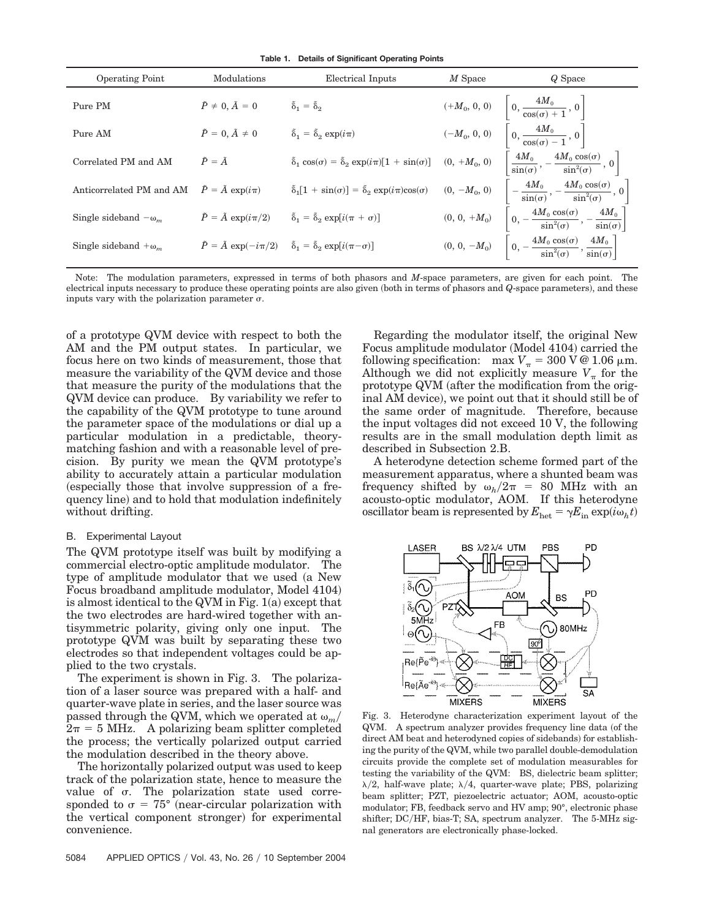**Table 1. Details of Significant Operating Points**

| <b>Operating Point</b>                                      | Modulations                          | Electrical Inputs                                                                                                                                                                       | $M$ Space | Q Space                                                                                                |
|-------------------------------------------------------------|--------------------------------------|-----------------------------------------------------------------------------------------------------------------------------------------------------------------------------------------|-----------|--------------------------------------------------------------------------------------------------------|
| Pure PM                                                     | $\tilde{P} \neq 0, \tilde{A} = 0$    | $\tilde{\delta}_1 = \tilde{\delta}_2$                                                                                                                                                   |           | $(+M_0, 0, 0)$ $\Bigg  0, \frac{4M_0}{\cos(\sigma) + 1}, 0 \Bigg $                                     |
| Pure AM                                                     | $\tilde{P} = 0, \tilde{A} \neq 0$    | $\tilde{\delta}_1 = \tilde{\delta}_2 \exp(i\pi)$                                                                                                                                        |           | $(-M_{0},\, 0,\, 0)\quad \left[\, 0,\, \frac{4M_{0}}{\cos(\sigma)-1}\, ,\, 0\, \right]$                |
| Correlated PM and AM                                        | $\tilde{P} = \tilde{A}$              | $\tilde{\delta}_1 \cos(\sigma) = \tilde{\delta}_2 \exp(i\pi)[1 + \sin(\sigma)]$ (0, +M <sub>0</sub> , 0)                                                                                |           | $\left[\frac{4M_0}{\sin(\sigma)}, -\frac{4M_0\cos(\sigma)}{\sin^2(\sigma)}, 0\right]$                  |
| Anticorrelated PM and AM $\tilde{P} = \tilde{A} \exp(i\pi)$ |                                      | $\tilde{\delta}_1[1 + \sin(\sigma)] = \tilde{\delta}_2 \exp(i\pi)\cos(\sigma)$ $(0, -M_0, 0)$ $\left[ -\frac{4M_0}{\sin(\sigma)}, -\frac{4M_0 \cos(\sigma)}{\sin^2(\sigma)}, 0 \right]$ |           |                                                                                                        |
| Single sideband $-\omega_m$                                 | $\tilde{P} = \tilde{A} \exp(i\pi/2)$ | $\tilde{\delta}_1 = \tilde{\delta}_2 \exp[i(\pi + \sigma)]$                                                                                                                             |           | $(0, 0, +M_0)$ $\left[0, -\frac{4M_0 \cos(\sigma)}{\sin^2(\sigma)}, -\frac{4M_0}{\sin(\sigma)}\right]$ |
| Single sideband $+\omega_m$                                 |                                      | $\tilde{P} = \tilde{A} \exp(-i\pi/2)$ $\tilde{\delta}_1 = \tilde{\delta}_2 \exp[i(\pi - \sigma)]$                                                                                       |           | $(0, 0, -M_0)$ $\left[0, -\frac{4M_0 \cos(\sigma)}{\sin^2(\sigma)}, \frac{4M_0}{\sin(\sigma)}\right]$  |

Note: The modulation parameters, expressed in terms of both phasors and *M*-space parameters, are given for each point. The electrical inputs necessary to produce these operating points are also given (both in terms of phasors and *Q*-space parameters), and these inputs vary with the polarization parameter  $\sigma$ .

of a prototype QVM device with respect to both the AM and the PM output states. In particular, we focus here on two kinds of measurement, those that measure the variability of the QVM device and those that measure the purity of the modulations that the QVM device can produce. By variability we refer to the capability of the QVM prototype to tune around the parameter space of the modulations or dial up a particular modulation in a predictable, theorymatching fashion and with a reasonable level of precision. By purity we mean the QVM prototype's ability to accurately attain a particular modulation especially those that involve suppression of a frequency line) and to hold that modulation indefinitely without drifting.

## B. Experimental Layout

The QVM prototype itself was built by modifying a commercial electro-optic amplitude modulator. The type of amplitude modulator that we used (a New Focus broadband amplitude modulator, Model 4104) is almost identical to the QVM in Fig.  $1(a)$  except that the two electrodes are hard-wired together with antisymmetric polarity, giving only one input. The prototype QVM was built by separating these two electrodes so that independent voltages could be applied to the two crystals.

The experiment is shown in Fig. 3. The polarization of a laser source was prepared with a half- and quarter-wave plate in series, and the laser source was passed through the QVM, which we operated at  $\omega_m$ /  $2\pi = 5$  MHz. A polarizing beam splitter completed the process; the vertically polarized output carried the modulation described in the theory above.

The horizontally polarized output was used to keep track of the polarization state, hence to measure the value of  $\sigma$ . The polarization state used corresponded to  $\sigma = 75^{\circ}$  (near-circular polarization with the vertical component stronger) for experimental convenience.

Regarding the modulator itself, the original New Focus amplitude modulator (Model 4104) carried the following specification: max  $V_{\pi} = 300 \text{ V} \textcircled{e} 1.06 \text{ }\mu\text{m}$ . Although we did not explicitly measure  $V_{\pi}$  for the prototype QVM (after the modification from the original AM device), we point out that it should still be of the same order of magnitude. Therefore, because the input voltages did not exceed 10 V, the following results are in the small modulation depth limit as described in Subsection 2.B.

A heterodyne detection scheme formed part of the measurement apparatus, where a shunted beam was frequency shifted by  $\omega_h/2\pi = 80$  MHz with an acousto-optic modulator, AOM. If this heterodyne  $\text{oscillator beam}$  is represented by  $E_{\text{het}} = \gamma E_{\text{in}} \exp(i\omega_h t)$ 



Fig. 3. Heterodyne characterization experiment layout of the QVM. A spectrum analyzer provides frequency line data (of the direct AM beat and heterodyned copies of sidebands) for establishing the purity of the QVM, while two parallel double-demodulation circuits provide the complete set of modulation measurables for testing the variability of the QVM: BS, dielectric beam splitter;  $\lambda/2$ , half-wave plate;  $\lambda/4$ , quarter-wave plate; PBS, polarizing beam splitter; PZT, piezoelectric actuator; AOM, acousto-optic modulator; FB, feedback servo and HV amp; 90°, electronic phase shifter; DC/HF, bias-T; SA, spectrum analyzer. The 5-MHz signal generators are electronically phase-locked.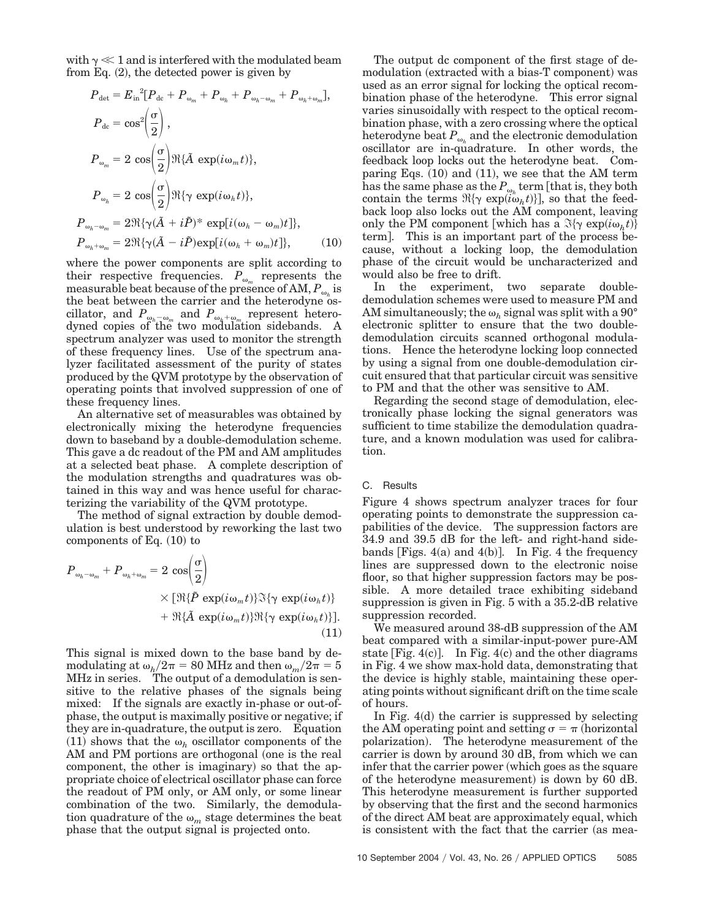with  $\gamma \ll 1$  and is interfered with the modulated beam from Eq.  $(2)$ , the detected power is given by

$$
P_{\text{det}} = E_{\text{in}}{}^{2}[P_{\text{de}} + P_{\omega_{m}} + P_{\omega_{h}} + P_{\omega_{h} - \omega_{m}} + P_{\omega_{h} + \omega_{m}}],
$$
  
\n
$$
P_{\text{de}} = \cos^{2}(\frac{\sigma}{2}),
$$
  
\n
$$
P_{\omega_{m}} = 2 \cos(\frac{\sigma}{2}) \Re{\{\tilde{A} \exp(i\omega_{m}t)\}},
$$
  
\n
$$
P_{\omega_{h}} = 2 \cos(\frac{\sigma}{2}) \Re{\{\gamma \exp(i\omega_{h}t)\}},
$$
  
\n
$$
P_{\omega_{h} - \omega_{m}} = 2 \Re{\{\gamma(\tilde{A} + i\tilde{P})^{*} \exp[i(\omega_{h} - \omega_{m})t]\}},
$$
  
\n
$$
P_{\omega_{h} + \omega_{m}} = 2 \Re{\{\gamma(\tilde{A} - i\tilde{P}) \exp[i(\omega_{h} + \omega_{m})t]\}},
$$
\n(10)

where the power components are split according to their respective frequencies.  $P_{\omega_m}$  represents the measurable beat because of the presence of AM,  $P_{\omega_k}$  is the beat between the carrier and the heterodyne oscillator, and  $P_{\omega_h-\omega_m}$  and  $P_{\omega_h+\omega_m}$  represent heterodyned copies of the two modulation sidebands. A spectrum analyzer was used to monitor the strength of these frequency lines. Use of the spectrum analyzer facilitated assessment of the purity of states produced by the QVM prototype by the observation of operating points that involved suppression of one of these frequency lines.

An alternative set of measurables was obtained by electronically mixing the heterodyne frequencies down to baseband by a double-demodulation scheme. This gave a dc readout of the PM and AM amplitudes at a selected beat phase. A complete description of the modulation strengths and quadratures was obtained in this way and was hence useful for characterizing the variability of the QVM prototype.

The method of signal extraction by double demodulation is best understood by reworking the last two components of Eq.  $(10)$  to

$$
P_{\omega_h - \omega_m} + P_{\omega_h + \omega_m} = 2 \cos\left(\frac{\sigma}{2}\right)
$$
  
 
$$
\times [\Re{\{\tilde{P} \exp(i\omega_m t)\}\Im{\{\gamma \exp(i\omega_h t)\}}}] + \Re{\{\tilde{A} \exp(i\omega_m t)\}\Re{\{\gamma \exp(i\omega_h t)\}}].
$$
  
(11)

This signal is mixed down to the base band by demodulating at  $\omega_h/2\pi = 80$  MHz and then  $\omega_m/2\pi = 5$ MHz in series. The output of a demodulation is sensitive to the relative phases of the signals being mixed: If the signals are exactly in-phase or out-ofphase, the output is maximally positive or negative; if they are in-quadrature, the output is zero. Equation (11) shows that the  $\omega_h$  oscillator components of the AM and PM portions are orthogonal (one is the real component, the other is imaginary) so that the appropriate choice of electrical oscillator phase can force the readout of PM only, or AM only, or some linear combination of the two. Similarly, the demodulation quadrature of the  $\omega_m$  stage determines the beat phase that the output signal is projected onto.

The output dc component of the first stage of demodulation (extracted with a bias-T component) was used as an error signal for locking the optical recombination phase of the heterodyne. This error signal varies sinusoidally with respect to the optical recombination phase, with a zero crossing where the optical heterodyne beat  $P_{\omega_h}$  and the electronic demodulation oscillator are in-quadrature. In other words, the feedback loop locks out the heterodyne beat. Comparing Eqs.  $(10)$  and  $(11)$ , we see that the AM term has the same phase as the  $P_{\omega_h}$  term [that is, they both contain the terms  $\Re{\gamma \exp(i\omega_h t)}$ , so that the feedback loop also locks out the AM component, leaving only the PM component [which has a  $\mathfrak{F}\{\gamma \exp(i\omega_h t)\}$ term. This is an important part of the process because, without a locking loop, the demodulation phase of the circuit would be uncharacterized and would also be free to drift.

In the experiment, two separate doubledemodulation schemes were used to measure PM and AM simultaneously; the  $\omega_h$  signal was split with a 90 $^{\circ}$ electronic splitter to ensure that the two doubledemodulation circuits scanned orthogonal modulations. Hence the heterodyne locking loop connected by using a signal from one double-demodulation circuit ensured that that particular circuit was sensitive to PM and that the other was sensitive to AM.

Regarding the second stage of demodulation, electronically phase locking the signal generators was sufficient to time stabilize the demodulation quadrature, and a known modulation was used for calibration.

## C. Results

Figure 4 shows spectrum analyzer traces for four operating points to demonstrate the suppression capabilities of the device. The suppression factors are 34.9 and 39.5 dB for the left- and right-hand sidebands [Figs.  $4(a)$  and  $4(b)$ ]. In Fig. 4 the frequency lines are suppressed down to the electronic noise floor, so that higher suppression factors may be possible. A more detailed trace exhibiting sideband suppression is given in Fig. 5 with a 35.2-dB relative suppression recorded.

We measured around 38-dB suppression of the AM beat compared with a similar-input-power pure-AM state [Fig.  $4(c)$ ]. In Fig.  $4(c)$  and the other diagrams in Fig. 4 we show max-hold data, demonstrating that the device is highly stable, maintaining these operating points without significant drift on the time scale of hours.

In Fig.  $4(d)$  the carrier is suppressed by selecting the AM operating point and setting  $\sigma = \pi$  (horizontal polarization). The heterodyne measurement of the carrier is down by around 30 dB, from which we can infer that the carrier power (which goes as the square of the heterodyne measurement) is down by 60 dB. This heterodyne measurement is further supported by observing that the first and the second harmonics of the direct AM beat are approximately equal, which is consistent with the fact that the carrier (as mea-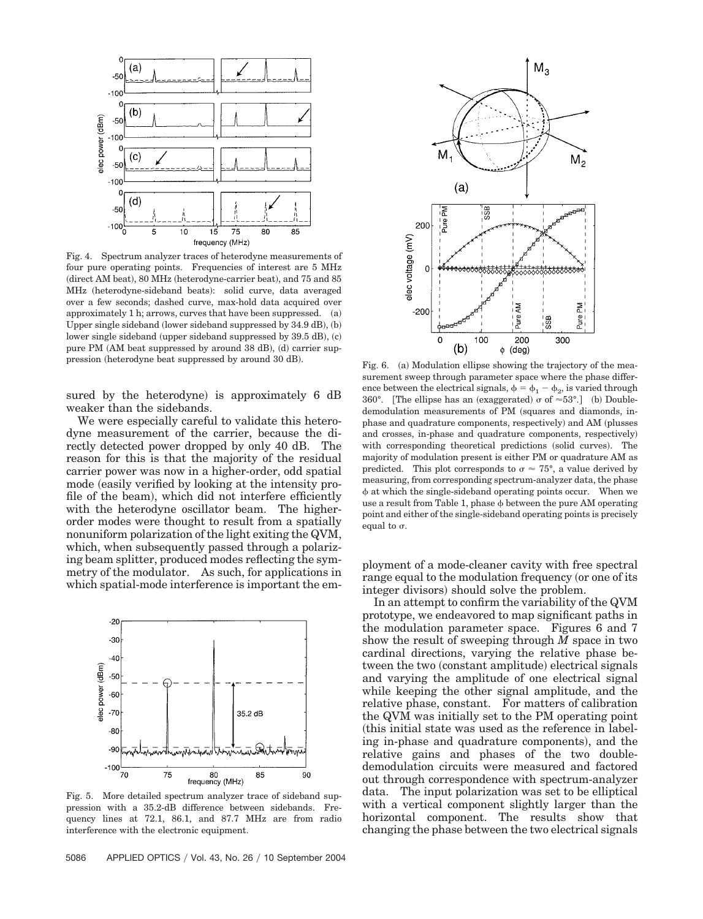

Fig. 4. Spectrum analyzer traces of heterodyne measurements of four pure operating points. Frequencies of interest are 5 MHz (direct AM beat), 80 MHz (heterodyne-carrier beat), and 75 and 85 MHz (heterodyne-sideband beats): solid curve, data averaged over a few seconds; dashed curve, max-hold data acquired over approximately  $1$  h; arrows, curves that have been suppressed.  $(a)$ Upper single sideband (lower sideband suppressed by 34.9 dB), (b) lower single sideband (upper sideband suppressed by 39.5 dB), (c) pure PM (AM beat suppressed by around 38 dB), (d) carrier suppression (heterodyne beat suppressed by around 30 dB).

sured by the heterodyne) is approximately 6 dB weaker than the sidebands.

We were especially careful to validate this heterodyne measurement of the carrier, because the directly detected power dropped by only 40 dB. The reason for this is that the majority of the residual carrier power was now in a higher-order, odd spatial mode (easily verified by looking at the intensity profile of the beam), which did not interfere efficiently with the heterodyne oscillator beam. The higherorder modes were thought to result from a spatially nonuniform polarization of the light exiting the QVM, which, when subsequently passed through a polarizing beam splitter, produced modes reflecting the symmetry of the modulator. As such, for applications in which spatial-mode interference is important the em-



Fig. 5. More detailed spectrum analyzer trace of sideband suppression with a 35.2-dB difference between sidebands. Frequency lines at 72.1, 86.1, and 87.7 MHz are from radio interference with the electronic equipment.



Fig. 6. (a) Modulation ellipse showing the trajectory of the measurement sweep through parameter space where the phase difference between the electrical signals,  $\phi = \phi_1 - \phi_2$ , is varied through 360°. [The ellipse has an (exaggerated)  $\sigma$  of  $\approx 53^{\circ}$ .] (b) Doubledemodulation measurements of PM (squares and diamonds, inphase and quadrature components, respectively) and AM (plusses and crosses, in-phase and quadrature components, respectively) with corresponding theoretical predictions (solid curves). The majority of modulation present is either PM or quadrature AM as predicted. This plot corresponds to  $\sigma \approx 75^{\circ}$ , a value derived by measuring, from corresponding spectrum-analyzer data, the phase  at which the single-sideband operating points occur. When we use a result from Table 1, phase  $\phi$  between the pure AM operating point and either of the single-sideband operating points is precisely equal to  $\sigma$ .

ployment of a mode-cleaner cavity with free spectral range equal to the modulation frequency (or one of its integer divisors) should solve the problem.

In an attempt to confirm the variability of the QVM prototype, we endeavored to map significant paths in the modulation parameter space. Figures 6 and 7 show the result of sweeping through *M* space in two cardinal directions, varying the relative phase between the two (constant amplitude) electrical signals and varying the amplitude of one electrical signal while keeping the other signal amplitude, and the relative phase, constant. For matters of calibration the QVM was initially set to the PM operating point this initial state was used as the reference in labeling in-phase and quadrature components), and the relative gains and phases of the two doubledemodulation circuits were measured and factored out through correspondence with spectrum-analyzer data. The input polarization was set to be elliptical with a vertical component slightly larger than the horizontal component. The results show that changing the phase between the two electrical signals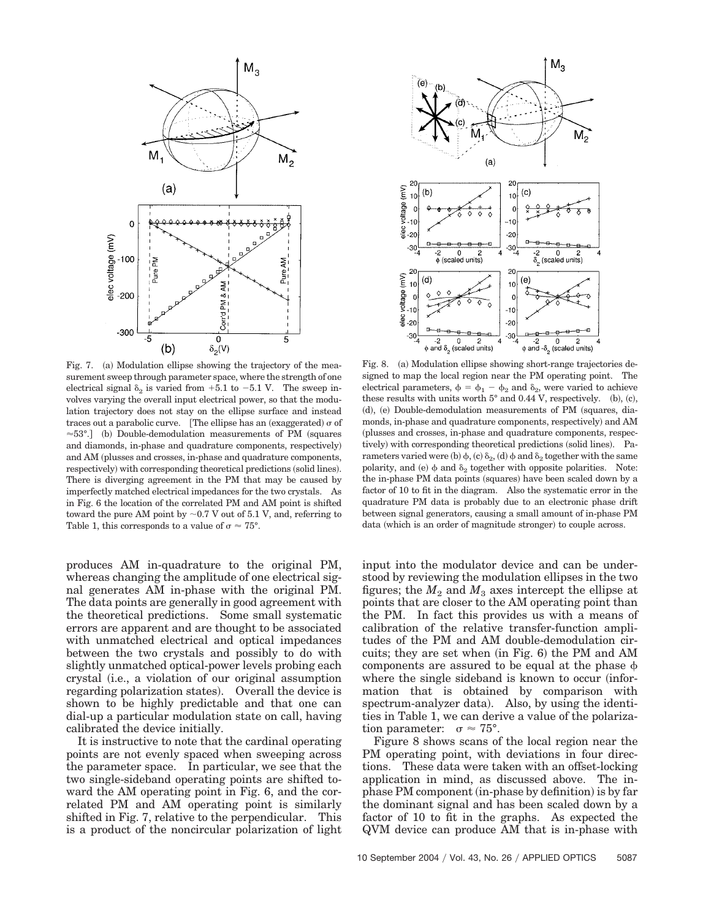

Fig. 7. (a) Modulation ellipse showing the trajectory of the measurement sweep through parameter space, where the strength of one electrical signal  $\delta_2$  is varied from  $+5.1$  to  $-5.1$  V. The sweep involves varying the overall input electrical power, so that the modulation trajectory does not stay on the ellipse surface and instead traces out a parabolic curve. [The ellipse has an (exaggerated)  $\sigma$  of  $\approx 53^{\circ}$ . (b) Double-demodulation measurements of PM (squares and diamonds, in-phase and quadrature components, respectively) and AM (plusses and crosses, in-phase and quadrature components, respectively) with corresponding theoretical predictions (solid lines). There is diverging agreement in the PM that may be caused by imperfectly matched electrical impedances for the two crystals. As in Fig. 6 the location of the correlated PM and AM point is shifted toward the pure AM point by  $\sim 0.7$  V out of 5.1 V, and, referring to Table 1, this corresponds to a value of  $\sigma \approx 75^{\circ}$ .

produces AM in-quadrature to the original PM, whereas changing the amplitude of one electrical signal generates AM in-phase with the original PM. The data points are generally in good agreement with the theoretical predictions. Some small systematic errors are apparent and are thought to be associated with unmatched electrical and optical impedances between the two crystals and possibly to do with slightly unmatched optical-power levels probing each crystal i.e., a violation of our original assumption regarding polarization states). Overall the device is shown to be highly predictable and that one can dial-up a particular modulation state on call, having calibrated the device initially.

It is instructive to note that the cardinal operating points are not evenly spaced when sweeping across the parameter space. In particular, we see that the two single-sideband operating points are shifted toward the AM operating point in Fig. 6, and the correlated PM and AM operating point is similarly shifted in Fig. 7, relative to the perpendicular. This is a product of the noncircular polarization of light



Fig. 8. (a) Modulation ellipse showing short-range trajectories designed to map the local region near the PM operating point. The electrical parameters,  $\phi = \phi_1 - \phi_2$  and  $\delta_2$ , were varied to achieve these results with units worth  $5^{\circ}$  and 0.44 V, respectively. (b), (c), (d), (e) Double-demodulation measurements of PM (squares, diamonds, in-phase and quadrature components, respectively) and AM plusses and crosses, in-phase and quadrature components, respectively) with corresponding theoretical predictions (solid lines). Parameters varied were (b)  $\phi$ , (c)  $\delta_2$ , (d)  $\phi$  and  $\delta_2$  together with the same polarity, and (e)  $\phi$  and  $\delta_2$  together with opposite polarities. Note: the in-phase PM data points (squares) have been scaled down by a factor of 10 to fit in the diagram. Also the systematic error in the quadrature PM data is probably due to an electronic phase drift between signal generators, causing a small amount of in-phase PM data (which is an order of magnitude stronger) to couple across.

input into the modulator device and can be understood by reviewing the modulation ellipses in the two figures; the  $M_2$  and  $M_3$  axes intercept the ellipse at points that are closer to the AM operating point than the PM. In fact this provides us with a means of calibration of the relative transfer-function amplitudes of the PM and AM double-demodulation circuits; they are set when (in Fig. 6) the PM and AM components are assured to be equal at the phase  $\phi$ where the single sideband is known to occur (information that is obtained by comparison with spectrum-analyzer data). Also, by using the identities in Table 1, we can derive a value of the polarization parameter:  $\sigma \approx 75^{\circ}$ .

Figure 8 shows scans of the local region near the PM operating point, with deviations in four directions. These data were taken with an offset-locking application in mind, as discussed above. The inphase PM component (in-phase by definition) is by far the dominant signal and has been scaled down by a factor of 10 to fit in the graphs. As expected the QVM device can produce AM that is in-phase with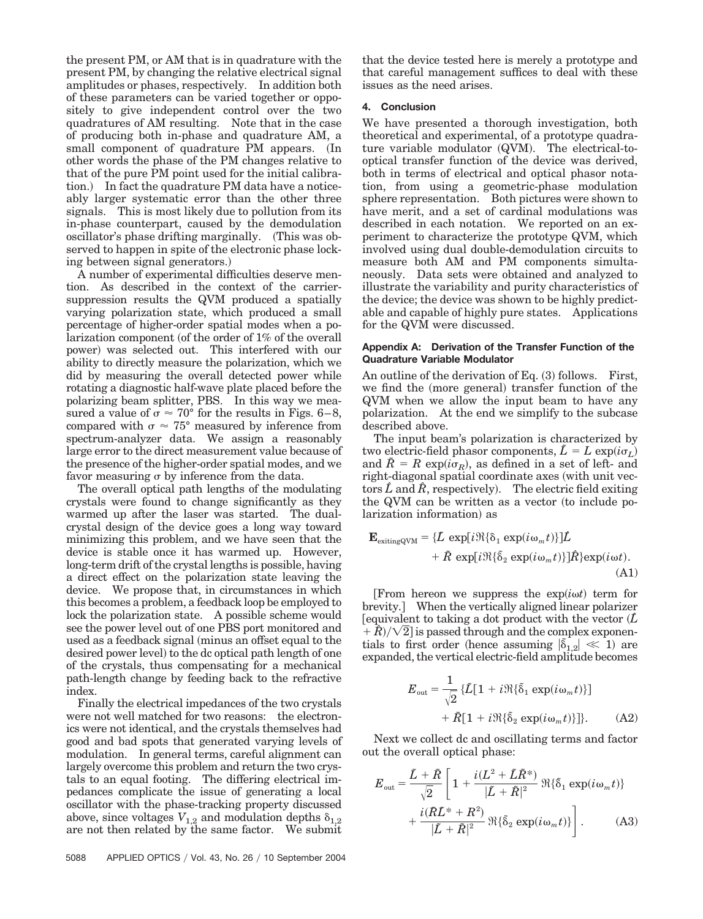the present PM, or AM that is in quadrature with the present PM, by changing the relative electrical signal amplitudes or phases, respectively. In addition both of these parameters can be varied together or oppositely to give independent control over the two quadratures of AM resulting. Note that in the case of producing both in-phase and quadrature AM, a small component of quadrature PM appears. (In other words the phase of the PM changes relative to that of the pure PM point used for the initial calibration.) In fact the quadrature PM data have a noticeably larger systematic error than the other three signals. This is most likely due to pollution from its in-phase counterpart, caused by the demodulation oscillator's phase drifting marginally. This was observed to happen in spite of the electronic phase locking between signal generators.)

A number of experimental difficulties deserve mention. As described in the context of the carriersuppression results the QVM produced a spatially varying polarization state, which produced a small percentage of higher-order spatial modes when a polarization component (of the order of 1% of the overall power) was selected out. This interfered with our ability to directly measure the polarization, which we did by measuring the overall detected power while rotating a diagnostic half-wave plate placed before the polarizing beam splitter, PBS. In this way we measured a value of  $\sigma \approx 70^{\circ}$  for the results in Figs. 6–8, compared with  $\sigma \approx 75^{\circ}$  measured by inference from spectrum-analyzer data. We assign a reasonably large error to the direct measurement value because of the presence of the higher-order spatial modes, and we favor measuring  $\sigma$  by inference from the data.

The overall optical path lengths of the modulating crystals were found to change significantly as they warmed up after the laser was started. The dualcrystal design of the device goes a long way toward minimizing this problem, and we have seen that the device is stable once it has warmed up. However, long-term drift of the crystal lengths is possible, having a direct effect on the polarization state leaving the device. We propose that, in circumstances in which this becomes a problem, a feedback loop be employed to lock the polarization state. A possible scheme would see the power level out of one PBS port monitored and used as a feedback signal (minus an offset equal to the desired power level) to the dc optical path length of one of the crystals, thus compensating for a mechanical path-length change by feeding back to the refractive index.

Finally the electrical impedances of the two crystals were not well matched for two reasons: the electronics were not identical, and the crystals themselves had good and bad spots that generated varying levels of modulation. In general terms, careful alignment can largely overcome this problem and return the two crystals to an equal footing. The differing electrical impedances complicate the issue of generating a local oscillator with the phase-tracking property discussed above, since voltages  $V_{1,2}$  and modulation depths  $\delta_{1,2}$ are not then related by the same factor. We submit

that the device tested here is merely a prototype and that careful management suffices to deal with these issues as the need arises.

# **4. Conclusion**

We have presented a thorough investigation, both theoretical and experimental, of a prototype quadrature variable modulator (QVM). The electrical-tooptical transfer function of the device was derived, both in terms of electrical and optical phasor notation, from using a geometric-phase modulation sphere representation. Both pictures were shown to have merit, and a set of cardinal modulations was described in each notation. We reported on an experiment to characterize the prototype QVM, which involved using dual double-demodulation circuits to measure both AM and PM components simultaneously. Data sets were obtained and analyzed to illustrate the variability and purity characteristics of the device; the device was shown to be highly predictable and capable of highly pure states. Applications for the QVM were discussed.

## **Appendix A: Derivation of the Transfer Function of the Quadrature Variable Modulator**

An outline of the derivation of Eq.  $(3)$  follows. First, we find the (more general) transfer function of the QVM when we allow the input beam to have any polarization. At the end we simplify to the subcase described above.

The input beam's polarization is characterized by two electric-field phasor components,  $\tilde{L} = L \exp(i\sigma_L)$ and  $\tilde{R} = R \exp(i\sigma_R)$ , as defined in a set of left- and right-diagonal spatial coordinate axes (with unit vectors  $\hat{L}$  and  $\hat{R}$ , respectively). The electric field exiting the QVM can be written as a vector (to include polarization information) as

$$
\mathbf{E}_{\text{exttingQVM}} = \{ \tilde{L} \exp[i \Re\{\delta_1 \exp(i\omega_m t)\}] \hat{L} \n+ \tilde{R} \exp[i \Re\{\delta_2 \exp(i\omega_m t)\}] \hat{R} \} \exp(i\omega t).
$$
\n(A1)

[From hereon we suppress the  $exp(i\omega t)$  term for brevity. When the vertically aligned linear polarizer [equivalent to taking a dot product with the vector  $(L)$  $\mathbb{R}^2 + \hat{R}$ )/ $\sqrt{2}$ ] is passed through and the complex exponentials to first order (hence assuming  $|\tilde{\delta}_{1,2}| \ll 1$ ) are expanded, the vertical electric-field amplitude becomes

$$
E_{\text{out}} = \frac{1}{\sqrt{2}} \left\{ \tilde{L} \left[ 1 + i \Re \{ \tilde{\delta}_1 \exp(i \omega_m t) \} \right] + \tilde{R} \left[ 1 + i \Re \{ \tilde{\delta}_2 \exp(i \omega_m t) \} \right] \right\}.
$$
 (A2)

Next we collect dc and oscillating terms and factor out the overall optical phase:

$$
E_{\text{out}} = \frac{\tilde{L} + \tilde{R}}{\sqrt{2}} \left[ 1 + \frac{i(L^2 + \tilde{L}\tilde{R}^*)}{|\tilde{L} + \tilde{R}|^2} \Re{\{\delta_1 \exp(i\omega_m t)\}} + \frac{i(\tilde{R}\tilde{L}^* + R^2)}{|\tilde{L} + \tilde{R}|^2} \Re{\{\delta_2 \exp(i\omega_m t)\}} \right].
$$
 (A3)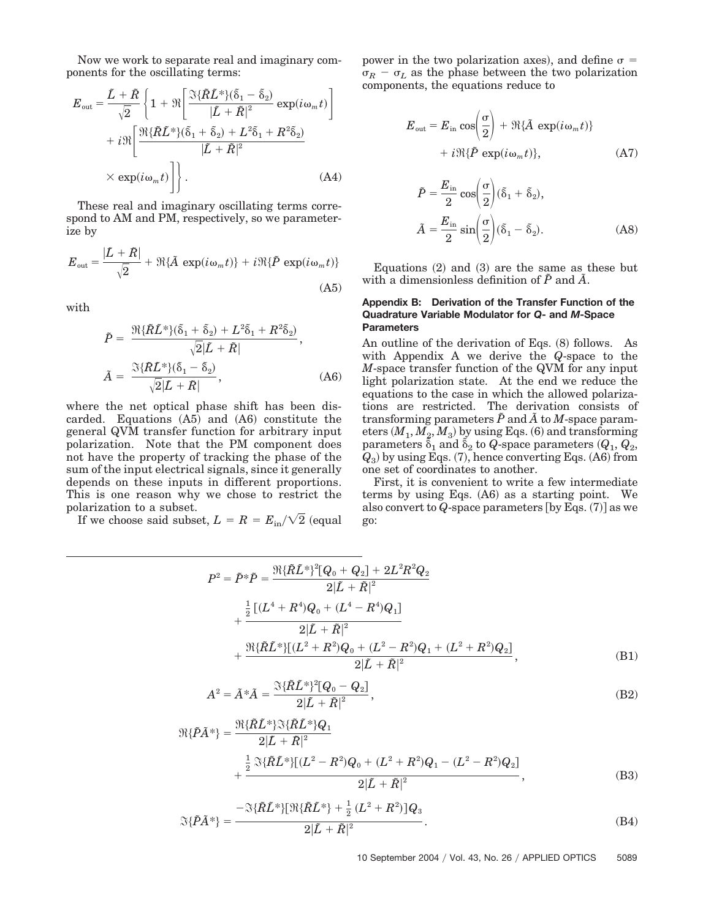Now we work to separate real and imaginary components for the oscillating terms:

$$
E_{\text{out}} = \frac{\tilde{L} + \tilde{R}}{\sqrt{2}} \left\{ 1 + \Re \left[ \frac{\Im \{\tilde{R}\tilde{L}^*\}(\tilde{\delta}_1 - \tilde{\delta}_2)}{|\tilde{L} + \tilde{R}|^2} \exp(i\omega_m t) \right] + i\Re \left[ \frac{\Re \{\tilde{R}\tilde{L}^*\}(\tilde{\delta}_1 + \tilde{\delta}_2) + L^2 \tilde{\delta}_1 + R^2 \tilde{\delta}_2}{|\tilde{L} + \tilde{R}|^2} \right] + \Re \left[ \frac{\Re \{\tilde{R}\tilde{L}^*\}(\tilde{\delta}_1 + \tilde{\delta}_2) + L^2 \tilde{\delta}_1 + R^2 \tilde{\delta}_2}{|\tilde{L} + \tilde{R}|^2} \right] \right\}.
$$
 (A4)

These real and imaginary oscillating terms correspond to AM and PM, respectively, so we parameterize by

$$
E_{\text{out}} = \frac{|\tilde{L} + \tilde{R}|}{\sqrt{2}} + \Re{\{\tilde{A} \, \exp(i\omega_m t)\} + i\Re{\{\tilde{P} \, \exp(i\omega_m t)\}}}
$$
\n(A5)

with

$$
\tilde{P} = \frac{\Re{\{\tilde{R}\tilde{L}^*\}(\tilde{\delta}_1 + \tilde{\delta}_2) + L^2\tilde{\delta}_1 + R^2\tilde{\delta}_2)}}{\sqrt{2}|\tilde{L} + \tilde{R}|},
$$
\n
$$
\tilde{A} = \frac{\Im{\{\tilde{R}\tilde{L}^*\}(\tilde{\delta}_1 - \tilde{\delta}_2)}}{\sqrt{2}|\tilde{L} + \tilde{R}|},
$$
\n(A6)

where the net optical phase shift has been discarded. Equations  $(A5)$  and  $(A6)$  constitute the general QVM transfer function for arbitrary input polarization. Note that the PM component does not have the property of tracking the phase of the sum of the input electrical signals, since it generally depends on these inputs in different proportions. This is one reason why we chose to restrict the polarization to a subset.

If we choose said subset,  $L = R = E_{\text{in}} / \sqrt{2}$  (equal

power in the two polarization axes), and define  $\sigma =$  $\sigma_R$  –  $\sigma_L$  as the phase between the two polarization components, the equations reduce to

$$
E_{\text{out}} = E_{\text{in}} \cos\left(\frac{\sigma}{2}\right) + \Re{\{\tilde{A} \exp(i\omega_m t)\}}
$$

$$
+ i\Re{\{\tilde{P} \exp(i\omega_m t)\}}, \tag{A7}
$$

$$
\tilde{P} = \frac{E_{\text{in}}}{2} \cos\left(\frac{\sigma}{2}\right) (\tilde{\delta}_1 + \tilde{\delta}_2),
$$
  

$$
\tilde{A} = \frac{E_{\text{in}}}{2} \sin\left(\frac{\sigma}{2}\right) (\tilde{\delta}_1 - \tilde{\delta}_2).
$$
 (A8)

Equations  $(2)$  and  $(3)$  are the same as these but with a dimensionless definition of  $\tilde{P}$  and  $\tilde{A}$ .

## **Appendix B: Derivation of the Transfer Function of the Quadrature Variable Modulator for** *Q***- and** *M***-Space Parameters**

An outline of the derivation of Eqs. (8) follows. As with Appendix A we derive the *Q*-space to the *M*-space transfer function of the QVM for any input light polarization state. At the end we reduce the equations to the case in which the allowed polarizations are restricted. The derivation consists of transforming parameters  $\tilde{P}$  and  $\tilde{A}$  to  $M$ -space parameters  $(M_1, M_2, M_3)$  by using Eqs. (6) and transforming parameters  $\tilde{\delta}_1$  and  $\tilde{\delta}_2$  to  $Q$ -space parameters  $(Q_1, Q_2)$  $Q_3$ ) by using Eqs. (7), hence converting Eqs. (A6) from one set of coordinates to another.

First, it is convenient to write a few intermediate terms by using Eqs.  $(A6)$  as a starting point. We also convert to  $Q$ -space parameters [by Eqs.  $(7)$ ] as we go:

$$
P^{2} = \tilde{P}^{*}\tilde{P} = \frac{\Re{\{\tilde{R}\tilde{L}^{*}\}^{2}[Q_{0} + Q_{2}] + 2L^{2}R^{2}Q_{2}}}{2|\tilde{L} + \tilde{R}|^{2}} + \frac{\frac{1}{2}[(L^{4} + R^{4})Q_{0} + (L^{4} - R^{4})Q_{1}]}{2|\tilde{L} + \tilde{R}|^{2}} + \frac{\Re{\{\tilde{R}\tilde{L}^{*}\}[(L^{2} + R^{2})Q_{0} + (L^{2} - R^{2})Q_{1} + (L^{2} + R^{2})Q_{2}]} }{2|\tilde{L} + \tilde{R}|^{2}},
$$
\n(B1)

$$
A^{2} = \tilde{A}^{*}\tilde{A} = \frac{\Im{\{\tilde{R}\tilde{L}^{*}\}^{2}[Q_{0} - Q_{2}]} }{2|\tilde{L} + \tilde{R}|^{2}},
$$
\n(B2)

$$
\mathfrak{R}\{\tilde{P}\tilde{A}^*\} = \frac{\mathfrak{R}\{\tilde{R}\tilde{L}^*\}\mathfrak{R}\{\tilde{R}\tilde{L}^*\}Q_1}{2|\tilde{L} + \tilde{R}|^2} + \frac{\frac{1}{2}\mathfrak{R}\{\tilde{R}\tilde{L}^*\}[(L^2 - R^2)Q_0 + (L^2 + R^2)Q_1 - (L^2 - R^2)Q_2]}{2|\tilde{L} + \tilde{R}|^2},
$$
\n(B3)

$$
\Im{\{\tilde{P}\tilde{A}^*\}} = \frac{-\Im{\{\tilde{R}\tilde{L}^*\}[\Re{\{\tilde{R}\tilde{L}^*\}} + \frac{1}{2}(L^2 + R^2)]Q_3}}{2|\tilde{L} + \tilde{R}|^2}.
$$
 (B4)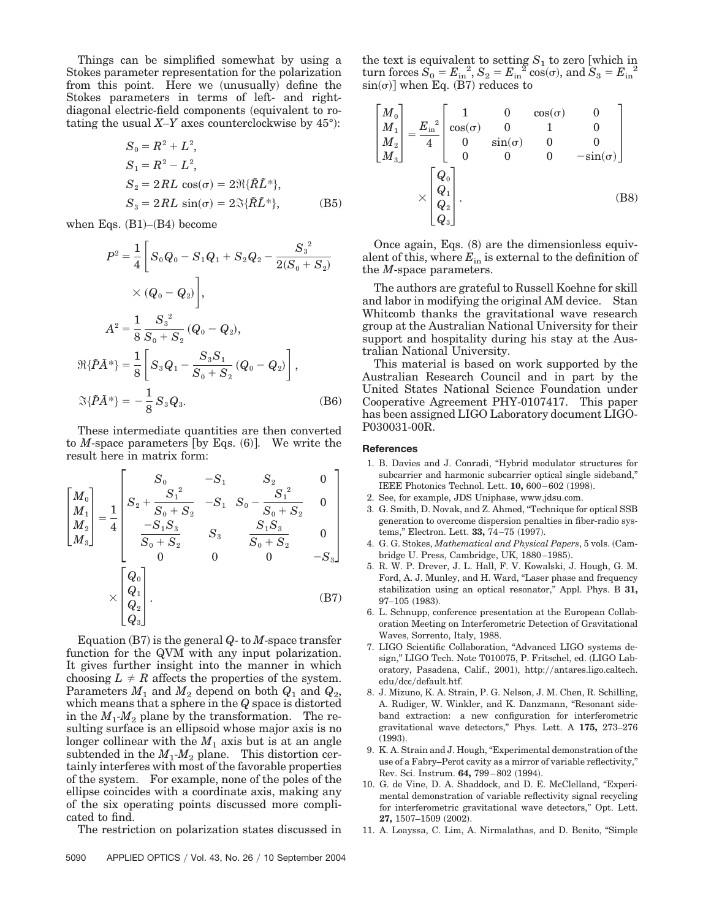Things can be simplified somewhat by using a Stokes parameter representation for the polarization from this point. Here we (unusually) define the Stokes parameters in terms of left- and rightdiagonal electric-field components (equivalent to rotating the usual  $X-Y$  axes counterclockwise by  $45^{\circ}$ ):

$$
S_0 = R^2 + L^2,
$$
  
\n
$$
S_1 = R^2 - L^2,
$$
  
\n
$$
S_2 = 2RL \cos(\sigma) = 2\Re{\{\tilde{R}\tilde{L}^*\}},
$$
  
\n
$$
S_3 = 2RL \sin(\sigma) = 2\Im{\{\tilde{R}\tilde{L}^*\}},
$$
 (B5)

when Eqs.  $(B1)$ – $(B4)$  become

$$
P^{2} = \frac{1}{4} \left[ S_{0} Q_{0} - S_{1} Q_{1} + S_{2} Q_{2} - \frac{S_{3}^{2}}{2(S_{0} + S_{2})} \times (Q_{0} - Q_{2}) \right],
$$
  
\n
$$
A^{2} = \frac{1}{8} \frac{S_{3}^{2}}{S_{0} + S_{2}} (Q_{0} - Q_{2}),
$$
  
\n
$$
\Re{\{\tilde{P}\tilde{A}^{*}\}} = \frac{1}{8} \left[ S_{3} Q_{1} - \frac{S_{3} S_{1}}{S_{0} + S_{2}} (Q_{0} - Q_{2}) \right],
$$
  
\n
$$
\Im{\{\tilde{P}\tilde{A}^{*}\}} = -\frac{1}{8} S_{3} Q_{3}.
$$
 (B6)

These intermediate quantities are then converted to  $M$ -space parameters [by Eqs.  $(6)$ ]. We write the result here in matrix form:

$$
\begin{bmatrix}\nM_0 \\
M_1 \\
M_2 \\
M_3\n\end{bmatrix} = \frac{1}{4} \begin{bmatrix}\nS_0 & -S_1 & S_2 & 0 \\
S_2 + \frac{S_1^2}{S_0 + S_2} & -S_1 & S_0 - \frac{S_1^2}{S_0 + S_2} & 0 \\
\frac{-S_1 S_3}{S_0 + S_2} & S_3 & \frac{S_1 S_3}{S_0 + S_2} & 0 \\
0 & 0 & 0 & -S_3\n\end{bmatrix}
$$
\n
$$
\times \begin{bmatrix}\nQ_0 \\
Q_1 \\
Q_2 \\
Q_3\n\end{bmatrix}.
$$
\n(B7)

Equation  $(B7)$  is the general  $Q$ - to  $M$ -space transfer function for the QVM with any input polarization. It gives further insight into the manner in which choosing  $L \neq R$  affects the properties of the system. Parameters  $M_1$  and  $M_2$  depend on both  $Q_1$  and  $Q_2$ , which means that a sphere in the *Q* space is distorted in the  $M_1$ - $M_2$  plane by the transformation. The resulting surface is an ellipsoid whose major axis is no longer collinear with the  $M_1$  axis but is at an angle subtended in the  $M_1$ - $M_2$  plane. This distortion certainly interferes with most of the favorable properties of the system. For example, none of the poles of the ellipse coincides with a coordinate axis, making any of the six operating points discussed more complicated to find.

The restriction on polarization states discussed in

the text is equivalent to setting  $S_1$  to zero [which in  $\tan \arccos \overline{S}_0 = E_{\text{in}}^2$ ,  $S_2 = E_{\text{in}}^2 \cos(\sigma)$ , and  $S_3 = E_{\text{in}}^2$  $\sin(\sigma)$  when Eq. (B7) reduces to

$$
\begin{bmatrix}\nM_0 \\
M_1 \\
M_2 \\
M_3\n\end{bmatrix} = \frac{E_{\text{in}}^2}{4} \begin{bmatrix}\n1 & 0 & \cos(\sigma) & 0 \\
\cos(\sigma) & 0 & 1 & 0 \\
0 & \sin(\sigma) & 0 & 0 \\
0 & 0 & 0 & -\sin(\sigma)\n\end{bmatrix}
$$
\n
$$
\times \begin{bmatrix}\nQ_0 \\
Q_1 \\
Q_2 \\
Q_3\n\end{bmatrix}.
$$
\n(B8)

Once again, Eqs. (8) are the dimensionless equivalent of this, where  $E_{\text{in}}$  is external to the definition of the *M*-space parameters.

The authors are grateful to Russell Koehne for skill and labor in modifying the original AM device. Stan Whitcomb thanks the gravitational wave research group at the Australian National University for their support and hospitality during his stay at the Australian National University.

This material is based on work supported by the Australian Research Council and in part by the United States National Science Foundation under Cooperative Agreement PHY-0107417. This paper has been assigned LIGO Laboratory document LIGO-P030031-00R.

#### **References**

- 1. B. Davies and J. Conradi, "Hybrid modulator structures for subcarrier and harmonic subcarrier optical single sideband," IEEE Photonics Technol. Lett. **10,** 600-602 (1998).
- 2. See, for example, JDS Uniphase, www.jdsu.com.
- 3. G. Smith, D. Novak, and Z. Ahmed, "Technique for optical SSB generation to overcome dispersion penalties in fiber-radio systems," Electron. Lett. **33,** 74–75 (1997).
- 4. G. G. Stokes, *Mathematical and Physical Papers*, 5 vols. Cambridge U. Press, Cambridge, UK, 1880-1985).
- 5. R. W. P. Drever, J. L. Hall, F. V. Kowalski, J. Hough, G. M. Ford, A. J. Munley, and H. Ward, "Laser phase and frequency stabilization using an optical resonator," Appl. Phys. B **31,** 97–105 (1983).
- 6. L. Schnupp, conference presentation at the European Collaboration Meeting on Interferometric Detection of Gravitational Waves, Sorrento, Italy, 1988.
- 7. LIGO Scientific Collaboration, "Advanced LIGO systems design," LIGO Tech. Note T010075, P. Fritschel, ed. (LIGO Laboratory, Pasadena, Calif., 2001), http://antares.ligo.caltech. edu/dcc/default.htf.
- 8. J. Mizuno, K. A. Strain, P. G. Nelson, J. M. Chen, R. Schilling, A. Rudiger, W. Winkler, and K. Danzmann, "Resonant sideband extraction: a new configuration for interferometric gravitational wave detectors," Phys. Lett. A **175,** 273–276  $(1993).$
- 9. K. A. Strain and J. Hough, "Experimental demonstration of the use of a Fabry–Perot cavity as a mirror of variable reflectivity," Rev. Sci. Instrum. **64,** 799–802 (1994).
- 10. G. de Vine, D. A. Shaddock, and D. E. McClelland, "Experimental demonstration of variable reflectivity signal recycling for interferometric gravitational wave detectors," Opt. Lett. 27, 1507-1509 (2002).
- 11. A. Loayssa, C. Lim, A. Nirmalathas, and D. Benito, "Simple